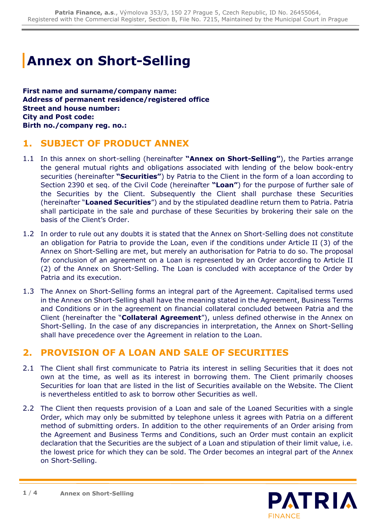## **Annex on Short-Selling**

**First name and surname/company name: Address of permanent residence/registered office Street and house number: City and Post code: Birth no./company reg. no.:**

## **1. SUBJECT OF PRODUCT ANNEX**

- 1.1 In this annex on short-selling (hereinafter **"Annex on Short-Selling"**), the Parties arrange the general mutual rights and obligations associated with lending of the below book-entry securities (hereinafter **"Securities"**) by Patria to the Client in the form of a loan according to Section 2390 et seq. of the Civil Code (hereinafter **"Loan"**) for the purpose of further sale of the Securities by the Client. Subsequently the Client shall purchase these Securities (hereinafter "**Loaned Securities**") and by the stipulated deadline return them to Patria. Patria shall participate in the sale and purchase of these Securities by brokering their sale on the basis of the Client's Order.
- 1.2 In order to rule out any doubts it is stated that the Annex on Short-Selling does not constitute an obligation for Patria to provide the Loan, even if the conditions under Article II (3) of the Annex on Short-Selling are met, but merely an authorisation for Patria to do so. The proposal for conclusion of an agreement on a Loan is represented by an Order according to Article II (2) of the Annex on Short-Selling. The Loan is concluded with acceptance of the Order by Patria and its execution.
- 1.3 The Annex on Short-Selling forms an integral part of the Agreement. Capitalised terms used in the Annex on Short-Selling shall have the meaning stated in the Agreement, Business Terms and Conditions or in the agreement on financial collateral concluded between Patria and the Client (hereinafter the "**Collateral Agreement**"), unless defined otherwise in the Annex on Short-Selling. In the case of any discrepancies in interpretation, the Annex on Short-Selling shall have precedence over the Agreement in relation to the Loan.

## **2. PROVISION OF A LOAN AND SALE OF SECURITIES**

- 2.1 The Client shall first communicate to Patria its interest in selling Securities that it does not own at the time, as well as its interest in borrowing them. The Client primarily chooses Securities for loan that are listed in the list of Securities available on the Website. The Client is nevertheless entitled to ask to borrow other Securities as well.
- 2.2 The Client then requests provision of a Loan and sale of the Loaned Securities with a single Order, which may only be submitted by telephone unless it agrees with Patria on a different method of submitting orders. In addition to the other requirements of an Order arising from the Agreement and Business Terms and Conditions, such an Order must contain an explicit declaration that the Securities are the subject of a Loan and stipulation of their limit value, i.e. the lowest price for which they can be sold. The Order becomes an integral part of the Annex on Short-Selling.

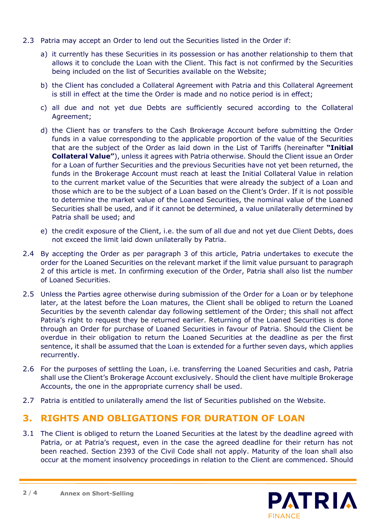- 2.3 Patria may accept an Order to lend out the Securities listed in the Order if:
	- a) it currently has these Securities in its possession or has another relationship to them that allows it to conclude the Loan with the Client. This fact is not confirmed by the Securities being included on the list of Securities available on the Website;
	- b) the Client has concluded a Collateral Agreement with Patria and this Collateral Agreement is still in effect at the time the Order is made and no notice period is in effect;
	- c) all due and not yet due Debts are sufficiently secured according to the Collateral Agreement;
	- d) the Client has or transfers to the Cash Brokerage Account before submitting the Order funds in a value corresponding to the applicable proportion of the value of the Securities that are the subject of the Order as laid down in the List of Tariffs (hereinafter **"Initial Collateral Value"**), unless it agrees with Patria otherwise. Should the Client issue an Order for a Loan of further Securities and the previous Securities have not yet been returned, the funds in the Brokerage Account must reach at least the Initial Collateral Value in relation to the current market value of the Securities that were already the subject of a Loan and those which are to be the subject of a Loan based on the Client's Order. If it is not possible to determine the market value of the Loaned Securities, the nominal value of the Loaned Securities shall be used, and if it cannot be determined, a value unilaterally determined by Patria shall be used; and
	- e) the credit exposure of the Client, i.e. the sum of all due and not yet due Client Debts, does not exceed the limit laid down unilaterally by Patria.
- 2.4 By accepting the Order as per paragraph 3 of this article, Patria undertakes to execute the order for the Loaned Securities on the relevant market if the limit value pursuant to paragraph 2 of this article is met. In confirming execution of the Order, Patria shall also list the number of Loaned Securities.
- 2.5 Unless the Parties agree otherwise during submission of the Order for a Loan or by telephone later, at the latest before the Loan matures, the Client shall be obliged to return the Loaned Securities by the seventh calendar day following settlement of the Order; this shall not affect Patria's right to request they be returned earlier. Returning of the Loaned Securities is done through an Order for purchase of Loaned Securities in favour of Patria. Should the Client be overdue in their obligation to return the Loaned Securities at the deadline as per the first sentence, it shall be assumed that the Loan is extended for a further seven days, which applies recurrently.
- 2.6 For the purposes of settling the Loan, i.e. transferring the Loaned Securities and cash, Patria shall use the Client's Brokerage Account exclusively. Should the client have multiple Brokerage Accounts, the one in the appropriate currency shall be used.
- 2.7 Patria is entitled to unilaterally amend the list of Securities published on the Website.

## **3. RIGHTS AND OBLIGATIONS FOR DURATION OF LOAN**

3.1 The Client is obliged to return the Loaned Securities at the latest by the deadline agreed with Patria, or at Patria's request, even in the case the agreed deadline for their return has not been reached. Section 2393 of the Civil Code shall not apply. Maturity of the loan shall also occur at the moment insolvency proceedings in relation to the Client are commenced. Should

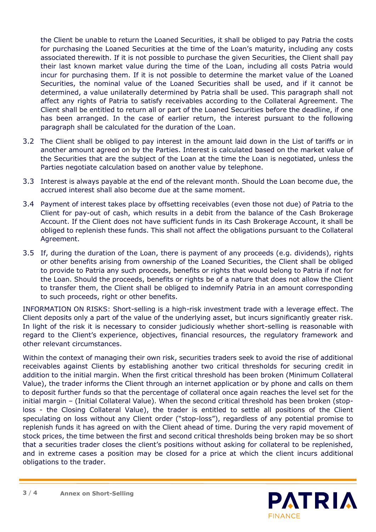the Client be unable to return the Loaned Securities, it shall be obliged to pay Patria the costs for purchasing the Loaned Securities at the time of the Loan's maturity, including any costs associated therewith. If it is not possible to purchase the given Securities, the Client shall pay their last known market value during the time of the Loan, including all costs Patria would incur for purchasing them. If it is not possible to determine the market value of the Loaned Securities, the nominal value of the Loaned Securities shall be used, and if it cannot be determined, a value unilaterally determined by Patria shall be used. This paragraph shall not affect any rights of Patria to satisfy receivables according to the Collateral Agreement. The Client shall be entitled to return all or part of the Loaned Securities before the deadline, if one has been arranged. In the case of earlier return, the interest pursuant to the following paragraph shall be calculated for the duration of the Loan.

- 3.2 The Client shall be obliged to pay interest in the amount laid down in the List of tariffs or in another amount agreed on by the Parties. Interest is calculated based on the market value of the Securities that are the subject of the Loan at the time the Loan is negotiated, unless the Parties negotiate calculation based on another value by telephone.
- 3.3 Interest is always payable at the end of the relevant month. Should the Loan become due, the accrued interest shall also become due at the same moment.
- 3.4 Payment of interest takes place by offsetting receivables (even those not due) of Patria to the Client for pay-out of cash, which results in a debit from the balance of the Cash Brokerage Account. If the Client does not have sufficient funds in its Cash Brokerage Account, it shall be obliged to replenish these funds. This shall not affect the obligations pursuant to the Collateral Agreement.
- 3.5 If, during the duration of the Loan, there is payment of any proceeds (e.g. dividends), rights or other benefits arising from ownership of the Loaned Securities, the Client shall be obliged to provide to Patria any such proceeds, benefits or rights that would belong to Patria if not for the Loan. Should the proceeds, benefits or rights be of a nature that does not allow the Client to transfer them, the Client shall be obliged to indemnify Patria in an amount corresponding to such proceeds, right or other benefits.

INFORMATION ON RISKS: Short-selling is a high-risk investment trade with a leverage effect. The Client deposits only a part of the value of the underlying asset, but incurs significantly greater risk. In light of the risk it is necessary to consider judiciously whether short-selling is reasonable with regard to the Client's experience, objectives, financial resources, the regulatory framework and other relevant circumstances.

Within the context of managing their own risk, securities traders seek to avoid the rise of additional receivables against Clients by establishing another two critical thresholds for securing credit in addition to the initial margin. When the first critical threshold has been broken (Minimum Collateral Value), the trader informs the Client through an internet application or by phone and calls on them to deposit further funds so that the percentage of collateral once again reaches the level set for the initial margin – (Initial Collateral Value). When the second critical threshold has been broken (stoploss - the Closing Collateral Value), the trader is entitled to settle all positions of the Client speculating on loss without any Client order ("stop-loss"), regardless of any potential promise to replenish funds it has agreed on with the Client ahead of time. During the very rapid movement of stock prices, the time between the first and second critical thresholds being broken may be so short that a securities trader closes the client's positions without asking for collateral to be replenished, and in extreme cases a position may be closed for a price at which the client incurs additional obligations to the trader.